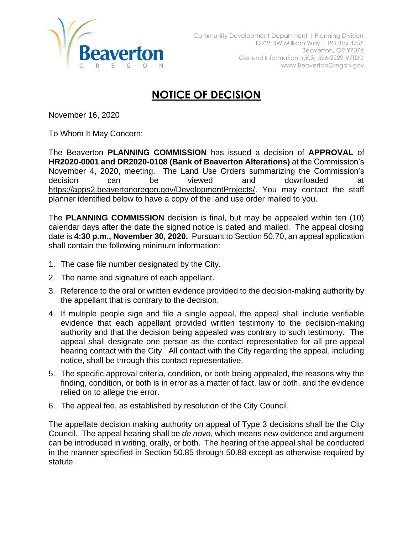

## **NOTICE OF DECISION**

November 16, 2020

To Whom It May Concern:

The Beaverton **PLANNING COMMISSION** has issued a decision of **APPROVAL** of **HR2020-0001 and DR2020-0108 (Bank of Beaverton Alterations)** at the Commission's November 4, 2020, meeting. The Land Use Orders summarizing the Commission's decision can be viewed and downloaded at [https://apps2.beavertonoregon.gov/DevelopmentProjects/.](https://apps2.beavertonoregon.gov/DevelopmentProjects/) You may contact the staff planner identified below to have a copy of the land use order mailed to you.

The **PLANNING COMMISSION** decision is final, but may be appealed within ten (10) calendar days after the date the signed notice is dated and mailed. The appeal closing date is **4:30 p.m., November 30, 2020.** Pursuant to Section 50.70, an appeal application shall contain the following minimum information:

- 1. The case file number designated by the City.
- 2. The name and signature of each appellant.
- 3. Reference to the oral or written evidence provided to the decision-making authority by the appellant that is contrary to the decision.
- 4. If multiple people sign and file a single appeal, the appeal shall include verifiable evidence that each appellant provided written testimony to the decision-making authority and that the decision being appealed was contrary to such testimony. The appeal shall designate one person as the contact representative for all pre-appeal hearing contact with the City. All contact with the City regarding the appeal, including notice, shall be through this contact representative.
- 5. The specific approval criteria, condition, or both being appealed, the reasons why the finding, condition, or both is in error as a matter of fact, law or both, and the evidence relied on to allege the error.
- 6. The appeal fee, as established by resolution of the City Council.

The appellate decision making authority on appeal of Type 3 decisions shall be the City Council. The appeal hearing shall be *de novo*, which means new evidence and argument can be introduced in writing, orally, or both. The hearing of the appeal shall be conducted in the manner specified in Section 50.85 through 50.88 except as otherwise required by statute.